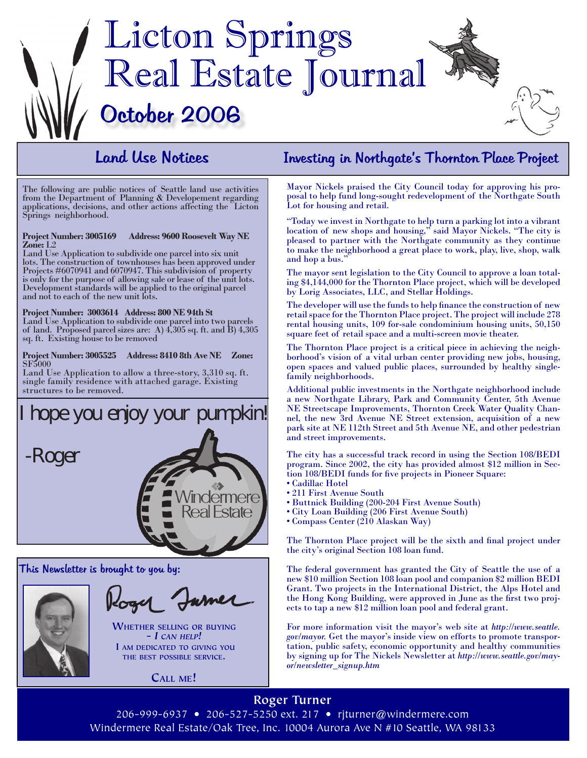

# Land Use Notices

The following are public notices of Seattle land use activities from the Department of Planning & Developement regarding applications, decisions, and other actions affecting the Licton Springs neighborhood.

# **Project Number: 3005169 Address: 9600 Roosevelt Way NE Zone:** L2

Land Use Application to subdivide one parcel into six unit lots. The construction of townhouses has been approved under Projects #6070941 and 6070947. This subdivision of property is only for the purpose of allowing sale or lease of the unit lots. Development standards will be applied to the original parcel and not to each of the new unit lots.

#### **Project Number: 3003614 Address: 800 NE 94th St**

Land Use Application to subdivide one parcel into two parcels of land. Proposed parcel sizes are: A) 4,305 sq. ft. and B) 4,305 sq. ft. Existing house to be removed

#### **Project Number: 3005525 Address: 8410 8th Ave NE Zone:** SF5000

Land Use Application to allow a three-story, 3,310 sq. ft. single family residence with attached garage. Existing structures to be removed.





**Whether selling or buying**

**-** *I can help!* **I am dedicated to giving you the best possible service.** 

**Call me!**

## Investing in Northgate's Thornton Place Project

Mayor Nickels praised the City Council today for approving his proposal to help fund long-sought redevelopment of the Northgate South Lot for housing and retail.

"Today we invest in Northgate to help turn a parking lot into a vibrant location of new shops and housing," said Mayor Nickels. "The city is pleased to partner with the Northgate community as they continue to make the neighborhood a great place to work, play, live, shop, walk and hop a bus."

The mayor sent legislation to the City Council to approve a loan totaling \$4,144,000 for the Thornton Place project, which will be developed by Lorig Associates, LLC, and Stellar Holdings.

The developer will use the funds to help finance the construction of new retail space for the Thornton Place project. The project will include 278 rental housing units, 109 for-sale condominium housing units, 50,150 square feet of retail space and a multi-screen movie theater.

The Thornton Place project is a critical piece in achieving the neighborhood's vision of a vital urban center providing new jobs, housing, open spaces and valued public places, surrounded by healthy singlefamily neighborhoods.

Additional public investments in the Northgate neighborhood include a new Northgate Library, Park and Community Center, 5th Avenue NE Streetscape Improvements, Thornton Creek Water Quality Channel, the new 3rd Avenue NE Street extension, acquisition of a new park site at NE 112th Street and 5th Avenue NE, and other pedestrian and street improvements.

The city has a successful track record in using the Section 108/BEDI program. Since 2002, the city has provided almost \$12 million in Section 108/BEDI funds for five projects in Pioneer Square:

- Cadillac Hotel
- 211 First Avenue South
- Buttnick Building (200-204 First Avenue South)
- City Loan Building (206 First Avenue South)
- Compass Center (210 Alaskan Way)

The Thornton Place project will be the sixth and final project under the city's original Section 108 loan fund.

The federal government has granted the City of Seattle the use of a new \$10 million Section 108 loan pool and companion \$2 million BEDI Grant. Two projects in the International District, the Alps Hotel and the Hong Kong Building, were approved in June as the first two projects to tap a new \$12 million loan pool and federal grant.

For more information visit the mayor's web site at *http://www.seattle. gov/mayor.* Get the mayor's inside view on efforts to promote transportation, public safety, economic opportunity and healthy communities by signing up for The Nickels Newsletter at *http://www.seattle.gov/mayor/newsletter\_signup.htm*

**Roger Turner** 206-999-6937 • 206-527-5250 ext. 217 • rjturner@windermere.com Windermere Real Estate/Oak Tree, Inc. 10004 Aurora Ave N #10 Seattle, WA 98133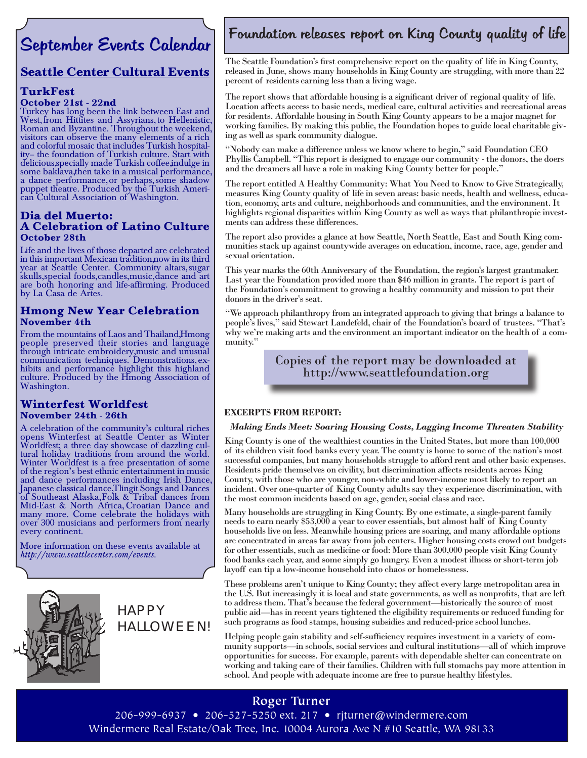# September Events Calendar

# **Seattle Center Cultural Events**

#### **TurkFest October 21st - 22nd**

Turkey has long been the link between East and West, from Hittites and Assyrians, to Hellenistic, Roman and Byzantine. Throughout the weekend, visitors can observe the many elements of a rich and colorful mosaic that includes Turkish hospital- ity– the foundation of Turkish culture. Start with delicious, specially made Turkish coffee, indulge in some baklava, then take in a musical performance, a dance performance, or perhaps, some shadow puppet theatre. Produced by the Turkish Ameri- can Cultural Association of Washington.

#### **Dia del Muerto: A Celebration of Latino Culture October 28th**

Life and the lives of those departed are celebrated in this important Mexican tradition, now in its third year at Seattle Center. Community altars, sugar skulls, special foods, candles, music, dance and art are both honoring and life-affirming. Produced by La Casa de Artes.

#### **Hmong New Year Celebration November 4th**

From the mountains of Laos and Thailand, Hmong people preserved their stories and language through intricate embroidery, music and unusual communication techniques. Demonstrations, ex- hibits and performance highlight this highland culture. Produced by the Hmong Association of Washington.

#### **Winterfest Worldfest November 24th - 26th**

A celebration of the community's cultural riches opens Winterfest at Seattle Center as Winter Worldfest; a three day showcase of dazzling cul- tural holiday traditions from around the world. Winter Worldfest is a free presentation of some of the region's best ethnic entertainment in music and dance performances including Irish Dance, Japanese classical dance, Tlingit Songs and Dances of Southeast Alaska, Folk & Tribal dances from Mid-East & North Africa, Croatian Dance and many more. Come celebrate the holidays with over 300 musicians and performers from nearly every continent.

More information on these events available at *http://www.seattlecenter.com/events.* 



HAPPY HALLOWEEN!

# Foundation releases report on King County quality of life

The Seattle Foundation's first comprehensive report on the quality of life in King County, released in June, shows many households in King County are struggling, with more than 22 percent of residents earning less than a living wage.

The report shows that affordable housing is a significant driver of regional quality of life. Location affects access to basic needs, medical care, cultural activities and recreational areas for residents. Affordable housing in South King County appears to be a major magnet for working families. By making this public, the Foundation hopes to guide local charitable giving as well as spark community dialogue.

"Nobody can make a difference unless we know where to begin," said Foundation CEO Phyllis Campbell. "This report is designed to engage our community - the donors, the doers and the dreamers all have a role in making King County better for people."

The report entitled A Healthy Community: What You Need to Know to Give Strategically, measures King County quality of life in seven areas: basic needs, health and wellness, education, economy, arts and culture, neighborhoods and communities, and the environment. It highlights regional disparities within King County as well as ways that philanthropic investments can address these differences.

The report also provides a glance at how Seattle, North Seattle, East and South King communities stack up against countywide averages on education, income, race, age, gender and sexual orientation.

This year marks the 60th Anniversary of the Foundation, the region's largest grantmaker. Last year the Foundation provided more than \$46 million in grants. The report is part of the Foundation's commitment to growing a healthy community and mission to put their donors in the driver's seat.

"We approach philanthropy from an integrated approach to giving that brings a balance to people's lives," said Stewart Landefeld, chair of the Foundation's board of trustees. "That's why we're making arts and the environment an important indicator on the health of a community."

> Copies of the report may be downloaded at http://www.seattlefoundation.org

#### **EXCERPTS FROM REPORT:**

#### *Making Ends Meet: Soaring Housing Costs, Lagging Income Threaten Stability*

King County is one of the wealthiest counties in the United States, but more than 100,000 of its children visit food banks every year. The county is home to some of the nation's most successful companies, but many households struggle to afford rent and other basic expenses. Residents pride themselves on civility, but discrimination affects residents across King County, with those who are younger, non-white and lower-income most likely to report an incident. Over one-quarter of King County adults say they experience discrimination, with the most common incidents based on age, gender, social class and race.

Many households are struggling in King County. By one estimate, a single-parent family needs to earn nearly \$53,000 a year to cover essentials, but almost half of King County households live on less. Meanwhile housing prices are soaring, and many affordable options are concentrated in areas far away from job centers. Higher housing costs crowd out budgets for other essentials, such as medicine or food: More than 300,000 people visit King County food banks each year, and some simply go hungry. Even a modest illness or short-term job layoff can tip a low-income household into chaos or homelessness.

These problems aren't unique to King County; they affect every large metropolitan area in the U.S. But increasingly it is local and state governments, as well as nonprofits, that are left to address them. That's because the federal government—historically the source of most public aid—has in recent years tightened the eligibility requirements or reduced funding for such programs as food stamps, housing subsidies and reduced-price school lunches.

Helping people gain stability and self-sufficiency requires investment in a variety of community supports—in schools, social services and cultural institutions—all of which improve opportunities for success. For example, parents with dependable shelter can concentrate on working and taking care of their families. Children with full stomachs pay more attention in school. And people with adequate income are free to pursue healthy lifestyles.

### **Roger Turner**

206-999-6937 • 206-527-5250 ext. 217 • rjturner@windermere.com Windermere Real Estate/Oak Tree, Inc. 10004 Aurora Ave N #10 Seattle, WA 98133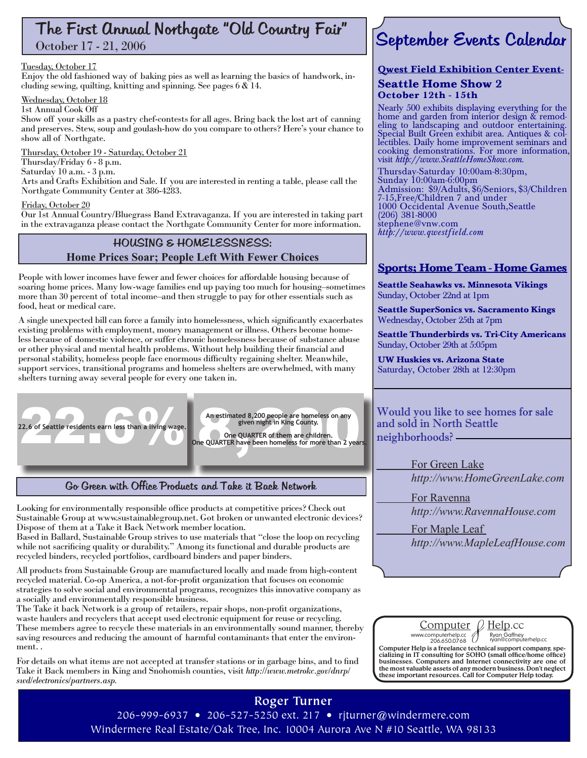# The First Annual Northgate "Old Country Fair"

October 17 - 21, 2006

#### Tuesday, October 17

Enjoy the old fashioned way of baking pies as well as learning the basics of handwork, in- cluding sewing, quilting, knitting and spinning. See pages 6 & 14.

#### Wednesday, October 18

#### 1st Annual Cook Off

Show off your skills as a pastry chef-contests for all ages. Bring back the lost art of canning and preserves. Stew, soup and goulash-how do you compare to others? Here's your chance to show all of Northgate.

Thursday, October 19 - Saturday, October 21 Thursday/Friday 6 - 8 p.m. Saturday 10 a.m. - 3 p.m. Arts and Crafts Exhibition and Sale. If you are interested in renting a table, please call the Northgate Community Center at 386-4283.

#### Friday, October 20

Our 1st Annual Country/Bluegrass Band Extravaganza. If you are interested in taking part in the extravaganza please contact the Northgate Community Center for more information.

#### HOUSING & HOMELESSNESS: **Home Prices Soar; People Left With Fewer Choices**

People with lower incomes have fewer and fewer choices for affordable housing because of soaring home prices. Many low-wage families end up paying too much for housing–sometimes more than 30 percent of total income–and then struggle to pay for other essentials such as food, heat or medical care.

A single unexpected bill can force a family into homelessness, which significantly exacerbates existing problems with employment, money management or illness. Others become homeless because of domestic violence, or suffer chronic homelessness because of substance abuse or other physical and mental health problems. Without help building their financial and personal stability, homeless people face enormous difficulty regaining shelter. Meanwhile, support services, transitional programs and homeless shelters are overwhelmed, with many shelters turning away several people for every one taken in.



An estimated 8,200 people are homeless on any<br>given night in King County.<br>One QUARTER of them are children.<br>QUARTER have been homeless for more than 2 year An estimated 8,200 people are homeless on any<br>given night in King County.

**One QUARTER of them are children. One QUARTER have been homeless for more than 2 years.**

Go Green with Office Products and Take it Back Network

Looking for environmentally responsible office products at competitive prices? Check out Sustainable Group at www.sustainablegroup.net. Got broken or unwanted electronic devices? Dispose of them at a Take it Back Network member location.

Based in Ballard, Sustainable Group strives to use materials that "close the loop on recycling while not sacrificing quality or durability." Among its functional and durable products are recycled binders, recycled portfolios, cardboard binders and paper binders.

All products from Sustainable Group are manufactured locally and made from high-content recycled material. Co-op America, a not-for-profit organization that focuses on economic strategies to solve social and environmental programs, recognizes this innovative company as a socially and environmentally responsible business.

The Take it back Network is a group of retailers, repair shops, non-profit organizations, waste haulers and recyclers that accept used electronic equipment for reuse or recycling. These members agree to recycle these materials in an environmentally sound manner, thereby saving resources and reducing the amount of harmful contaminants that enter the environment. .

For details on what items are not accepted at transfer stations or in garbage bins, and to find Take it Back members in King and Snohomish counties, visit *http://www.metrokc.gov/dnrp/ swd/electronics/partners.asp.* 

### **Roger Turner**

# September Events Calendar

#### **Qwest Field Exhibition Center Event-Seattle Home Show 2 October 12th - 15th**

Nearly 500 exhibits displaying everything for the home and garden from interior design & remod-<br>eling to landscaping and outdoor entertaining.<br>Special Built Green exhibit area. Antiques & col-Special Built Green exhibit area. Antiques & col- lectibles. Daily home improvement seminars and cooking demonstrations. For more information, visit *http://www.SeattleHomeShow.com.*

Thursday-Saturday 10:00am-8:30pm, Sunday 10:00am-6:00pm Admission: \$9/Adults, \$6/Seniors, \$3/Children 7-15, Free/Children 7 and under 1000 Occidental Avenue South, Seattle (206) 381-8000 stephene@vnw.com *http://www.qwestfield.com*

### **Sports; Home Team - Home Games**

**Seattle Seahawks vs. Minnesota Vikings** Sunday, October 22nd at 1pm

**Seattle SuperSonics vs. Sacramento Kings** Wednesday, October 25th at 7pm

**Seattle Thunderbirds vs. Tri-City Americans** Sunday, October 29th at 5:05pm

**UW Huskies vs. Arizona State** Saturday, October 28th at 12:30pm

Would you like to see homes for sale and sold in North Seattle neighborhoods?

> For Green Lake  *http://www.HomeGreenLake.com*

 For Ravenna  *http://www.RavennaHouse.com*

 For Maple Leaf

 *http://www.MapleLeafHouse.com*

www.computerhelp.cc 206.650.0768 Ryan Gaffney ryan@computerhelp.cc Computer Help is a freelance technical support company, specializing in IT consulting for SOHO (small office/home office) businesses. Computers and Internet connectivity are one of the most valuable assets of any modern bu

<u>Computer</u>  $\mu$  Help.cc

206-999-6937 • 206-527-5250 ext. 217 • rjturner@windermere.com Windermere Real Estate/Oak Tree, Inc. 10004 Aurora Ave N #10 Seattle, WA 98133